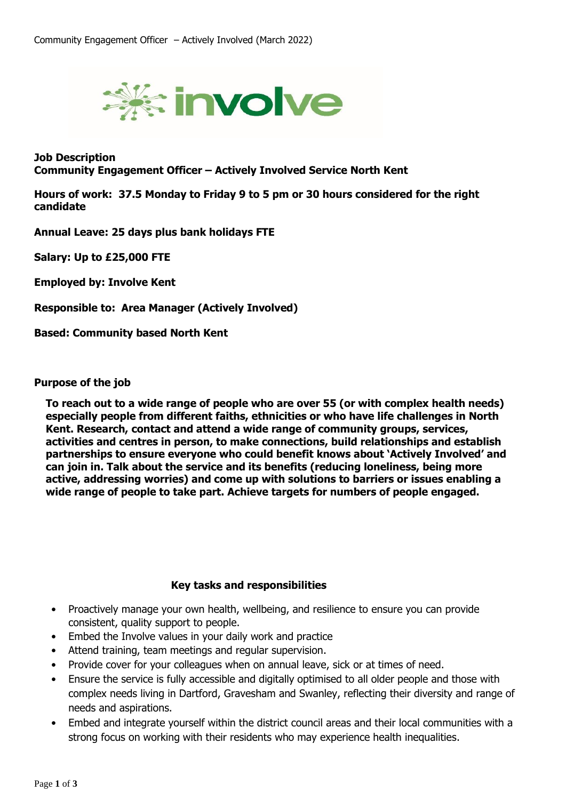

**Job Description Community Engagement Officer – Actively Involved Service North Kent**

**Hours of work: 37.5 Monday to Friday 9 to 5 pm or 30 hours considered for the right candidate**

**Annual Leave: 25 days plus bank holidays FTE**

**Salary: Up to £25,000 FTE**

**Employed by: Involve Kent**

**Responsible to: Area Manager (Actively Involved)**

**Based: Community based North Kent**

## **Purpose of the job**

**To reach out to a wide range of people who are over 55 (or with complex health needs) especially people from different faiths, ethnicities or who have life challenges in North Kent. Research, contact and attend a wide range of community groups, services, activities and centres in person, to make connections, build relationships and establish partnerships to ensure everyone who could benefit knows about 'Actively Involved' and can join in. Talk about the service and its benefits (reducing loneliness, being more active, addressing worries) and come up with solutions to barriers or issues enabling a wide range of people to take part. Achieve targets for numbers of people engaged.** 

## **Key tasks and responsibilities**

- Proactively manage your own health, wellbeing, and resilience to ensure you can provide consistent, quality support to people.
- Embed the Involve values in your daily work and practice
- Attend training, team meetings and regular supervision.
- Provide cover for your colleagues when on annual leave, sick or at times of need.
- Ensure the service is fully accessible and digitally optimised to all older people and those with complex needs living in Dartford, Gravesham and Swanley, reflecting their diversity and range of needs and aspirations.
- Embed and integrate yourself within the district council areas and their local communities with a strong focus on working with their residents who may experience health inequalities.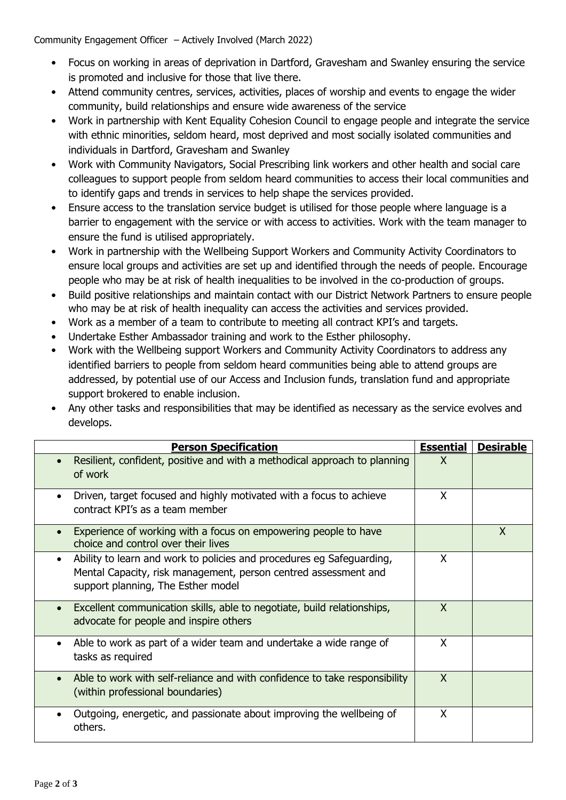Community Engagement Officer – Actively Involved (March 2022)

- Focus on working in areas of deprivation in Dartford, Gravesham and Swanley ensuring the service is promoted and inclusive for those that live there.
- Attend community centres, services, activities, places of worship and events to engage the wider community, build relationships and ensure wide awareness of the service
- Work in partnership with Kent Equality Cohesion Council to engage people and integrate the service with ethnic minorities, seldom heard, most deprived and most socially isolated communities and individuals in Dartford, Gravesham and Swanley
- Work with Community Navigators, Social Prescribing link workers and other health and social care colleagues to support people from seldom heard communities to access their local communities and to identify gaps and trends in services to help shape the services provided.
- Ensure access to the translation service budget is utilised for those people where language is a barrier to engagement with the service or with access to activities. Work with the team manager to ensure the fund is utilised appropriately.
- Work in partnership with the Wellbeing Support Workers and Community Activity Coordinators to ensure local groups and activities are set up and identified through the needs of people. Encourage people who may be at risk of health inequalities to be involved in the co-production of groups.
- Build positive relationships and maintain contact with our District Network Partners to ensure people who may be at risk of health inequality can access the activities and services provided.
- Work as a member of a team to contribute to meeting all contract KPI's and targets.
- Undertake Esther Ambassador training and work to the Esther philosophy.
- Work with the Wellbeing support Workers and Community Activity Coordinators to address any identified barriers to people from seldom heard communities being able to attend groups are addressed, by potential use of our Access and Inclusion funds, translation fund and appropriate support brokered to enable inclusion.
- Any other tasks and responsibilities that may be identified as necessary as the service evolves and develops.

| <b>Person Specification</b>                                                                                                                                                                 | <b>Essential</b> | <b>Desirable</b> |
|---------------------------------------------------------------------------------------------------------------------------------------------------------------------------------------------|------------------|------------------|
| Resilient, confident, positive and with a methodical approach to planning<br>of work                                                                                                        | X                |                  |
| Driven, target focused and highly motivated with a focus to achieve<br>$\bullet$<br>contract KPI's as a team member                                                                         | X                |                  |
| Experience of working with a focus on empowering people to have<br>choice and control over their lives                                                                                      |                  | X                |
| Ability to learn and work to policies and procedures eg Safeguarding,<br>$\bullet$<br>Mental Capacity, risk management, person centred assessment and<br>support planning, The Esther model | X                |                  |
| Excellent communication skills, able to negotiate, build relationships,<br>$\bullet$<br>advocate for people and inspire others                                                              | $\mathsf{x}$     |                  |
| Able to work as part of a wider team and undertake a wide range of<br>$\bullet$<br>tasks as required                                                                                        | $\mathsf{x}$     |                  |
| Able to work with self-reliance and with confidence to take responsibility<br>(within professional boundaries)                                                                              | $\mathsf{X}$     |                  |
| Outgoing, energetic, and passionate about improving the wellbeing of<br>others.                                                                                                             | X                |                  |